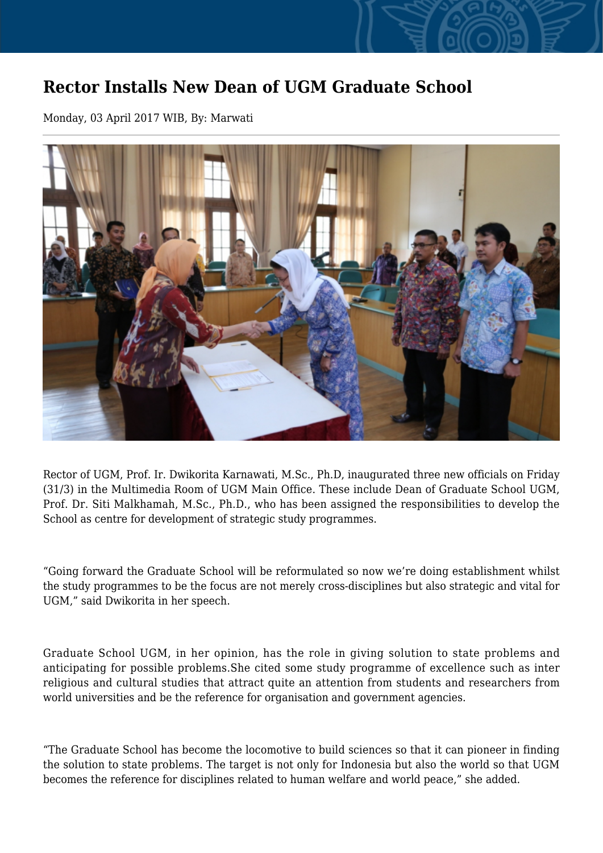## **Rector Installs New Dean of UGM Graduate School**

Monday, 03 April 2017 WIB, By: Marwati



Rector of UGM, Prof. Ir. Dwikorita Karnawati, M.Sc., Ph.D, inaugurated three new officials on Friday (31/3) in the Multimedia Room of UGM Main Office. These include Dean of Graduate School UGM, Prof. Dr. Siti Malkhamah, M.Sc., Ph.D., who has been assigned the responsibilities to develop the School as centre for development of strategic study programmes.

"Going forward the Graduate School will be reformulated so now we're doing establishment whilst the study programmes to be the focus are not merely cross-disciplines but also strategic and vital for UGM," said Dwikorita in her speech.

Graduate School UGM, in her opinion, has the role in giving solution to state problems and anticipating for possible problems.She cited some study programme of excellence such as inter religious and cultural studies that attract quite an attention from students and researchers from world universities and be the reference for organisation and government agencies.

"The Graduate School has become the locomotive to build sciences so that it can pioneer in finding the solution to state problems. The target is not only for Indonesia but also the world so that UGM becomes the reference for disciplines related to human welfare and world peace," she added.